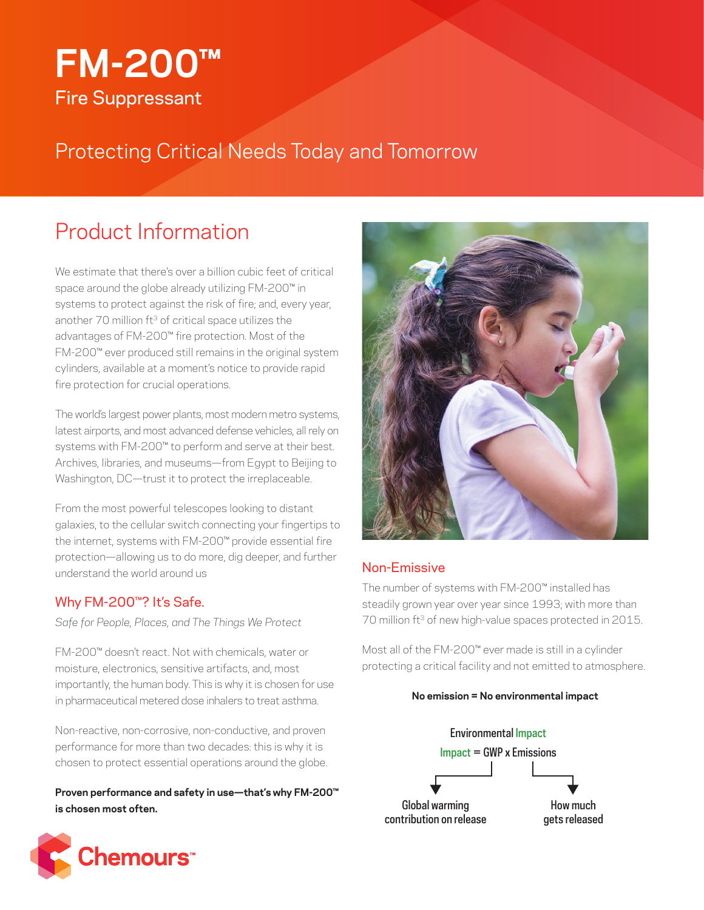# **FM-200™** Fire Suppressant

Protecting Critical Needs Today and Tomorrow

## Product Information

We estimate that there's over a billion cubic feet of critical space around the globe already utilizing FM-200™ in systems to protect against the risk of fire; and, every year, another 70 million ft<sup>3</sup> of critical space utilizes the advantages of FM-200™ fire protection. Most of the FM-200™ ever produced still remains in the original system cylinders, available at a moment's notice to provide rapid fire protection for crucial operations.

The world's largest power plants, most modern metro systems, latest airports, and most advanced defense vehicles, all rely on systems with FM-200™ to perform and serve at their best. Archives, libraries, and museums—from Egypt to Beijing to Washington, DC—trust it to protect the irreplaceable.

From the most powerful telescopes looking to distant galaxies, to the cellular switch connecting your fingertips to the internet, systems with FM-200™ provide essential fire protection—allowing us to do more, dig deeper, and further understand the world around us

## Why FM-200™? It's Safe.

*Safe for People, Places, and The Things We Protect*

FM-200™ doesn't react. Not with chemicals, water or moisture, electronics, sensitive artifacts, and, most importantly, the human body. This is why it is chosen for use in pharmaceutical metered dose inhalers to treat asthma.

Non-reactive, non-corrosive, non-conductive, and proven performance for more than two decades: this is why it is chosen to protect essential operations around the globe.

**Proven performance and safety in use—that's why FM-200™ is chosen most often.**





## Non-Emissive

The number of systems with FM-200™ installed has steadily grown year over year since 1993; with more than 70 million ft<sup>3</sup> of new high-value spaces protected in 2015.

Most all of the FM-200™ ever made is still in a cylinder protecting a critical facility and not emitted to atmosphere.

#### **No emission = No environmental impact**